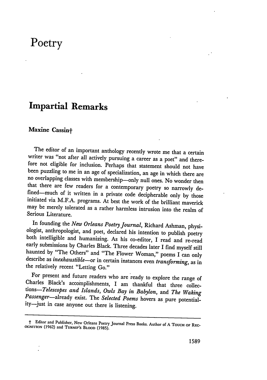# **Poetry**

# **Impartial Remarks**

#### **Maxine Cassint**

The editor of an important anthology recently wrote me that a certain<br>writer was "not after all actively pursuing a career as a poet" and there-<br>fore not eligible for inclusion. Perhaps that statement should not have<br>been that there are few readers for a contemporary poetry so narrowly de-<br>fined—much of it written in a private code decipherable only by those<br>initiated via M.F.A. programs. At best the work of the brilliant maverick may be merely tolerated as a rather harmless intrusion into the realm of Serious Literature.

In founding the *New Orleans Poetry Journal*, Richard Ashman, physiologist, anthropologist, and poet, declared his intention to publish poetry both intelligible and humanizing. As his co-editor, I read and re-read early su the relatively recent "Letting Go."

For present and future readers who are ready to explore the range of Charles Black's accomplishments, I am thankful that three collections—*Telescopes and Islands*, *Owls Bay in Babylon*, and *The Waking Passenger*—already

t Editor and Publisher, New Orleans Poetry Journal Press Books. Author of **<sup>A</sup>**TOUCH **OF** REc- **(X;NrION (1962)** and **TURNIP'S** Bt.ooD **(1985).**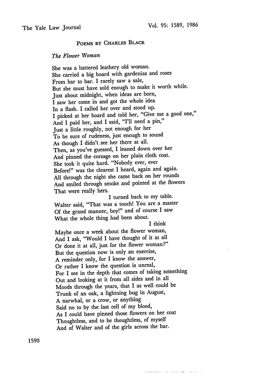## **POEMS BY CHARLES BLACK**

### *The Flower Woman*

She was a battered leathery old woman. She carried a big board with gardenias and roses From bar to bar. I rarely saw a sale, But she must have sold enough to make it worth while. Just about midnight, when ideas are born, I saw her come in and got the whole idea In a flash. I called her over and stood up. I picked at her board and told her, "Give me a good one," And I paid her, and I said, "I'll need a pin," Just a little roughly, not enough for her To be sure of rudeness, just enough to sound As though I didn't see her there at all. Then, as you've guessed, I leaned down over her And pinned the corsage on her plain cloth coat. She took it quite hard. "Nobody ever, ever Before!" was the clearest I heard, again and again. All through the night she came back on her rounds And smiled through smoke and pointed at the flowers That were really hers. I turned back to my table. Walter said, "That was a touch! You are a master Of the grand manner, boy!" and of course I saw What the whole thing had been about.

I think

Maybe once a week about the flower woman, And I ask, "Would I have thought of it at all Or done it at all, just for the flower woman?" But the question now is only an exercise, A reminder only, for I know the answer, Or rather I know the question is unreal, For I see in the depth that comes of taking something Out and looking at it from all sides and in all Moods through the years, that I as well could be Trunk of an oak, a lightning bug in August, A narwhal, or a crow, or anything Said no to by the last cell of my blood, As I could have pinned those flowers on her coat Thoughtless, and to be thoughtless, of myself And of Walter and of the girls across the bar.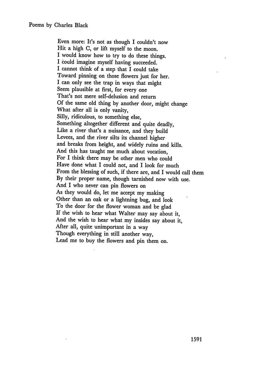Even more: It's not as though I couldn't now Hit a high C, or lift myself to the moon. I would know how to try to do these things. I could imagine myself having succeeded. I cannot think of a step that I could take Toward pinning on those flowers just for her. I can only see the trap in ways that might Seem plausible at first, for every one That's not mere self-delusion and return Of the same old thing by another door, might change What after all is only vanity, Silly, ridiculous, to something else, Something altogether different and quite deadly, Like a river that's a nuisance, and they build Levees, and the river silts its channel higher and breaks from height, and widely ruins and kills. And this has taught me much about vocation, For I think there may be other men who could Have done what I could not, and I look for much From the blessing of such, if there are, and I would call them By their proper name, though tarnished now with use. And I who never can pin flowers on As they would do, let me accept my making Other than an oak or a lightning bug, and look To the door for the flower woman and be glad If the wish to hear what Walter may say about it, And the wish to hear what my insides say about it, After all, quite unimportant in a way Though everything in still another way, Lead me to buy the flowers and pin them on.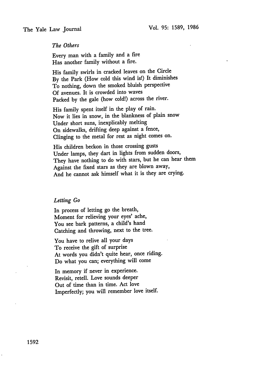#### *The Others*

Every man with a family and a fire Has another family without a fire.

His family swirls in cracked leaves on the Circle By the Park (How cold this wind is!) It diminishes To nothing, down the smoked bluish perspective Of avenues. It is crowded into waves Packed by the gale (how cold!) across the river.

His family spent itself in the play of rain. Now it lies in snow, in the blankness of plain snow Under short suns, inexplicably melting On sidewalks, drifting deep against a fence, Clinging to the metal for rest as night comes on.

His children beckon in those crossing gusts Under lamps, they dart in lights from sudden doors, They have nothing to do with stars, but he can hear them Against the fixed stars as they are blown away, And he cannot ask himself what it is they are crying.

#### *Letting Go*

In process of letting go the breath, Moment for relieving your eyes' ache, You see bark patterns, a child's hand Catching and throwing, next to the tree.

You have to relive all your days To receive the gift of surprise At words you didn't quite hear, once riding. Do what you can; everything will come

In memory if never in experience. Revisit, retell. Love sounds deeper Out of time than in time. Act love Imperfectly; you will remember love itself.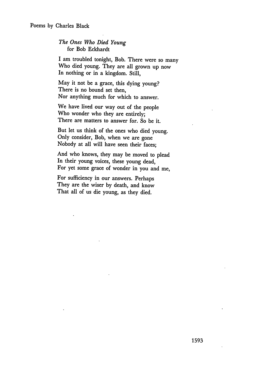#### *The Ones Who Died Young* for Bob Eckhardt

I am troubled tonight, Bob. There were so many Who died young. They are all grown up now In nothing or in a kingdom. Still,

May it not be a grace, this dying young? There is no bound set then, Nor anything much for which to answer.

We have lived our way out of the people Who wonder who they are entirely; There are matters to answer for. So be it.

But let us think of the ones who died young. Only consider, Bob, when we are gone Nobody at all will have seen their faces;

And who knows, they may be moved to plead In their young voices, these young dead, For yet some grace of wonder in you and me,

For sufficiency in our answers. Perhaps They are the wiser by death, and know That all of us die young, as they died.